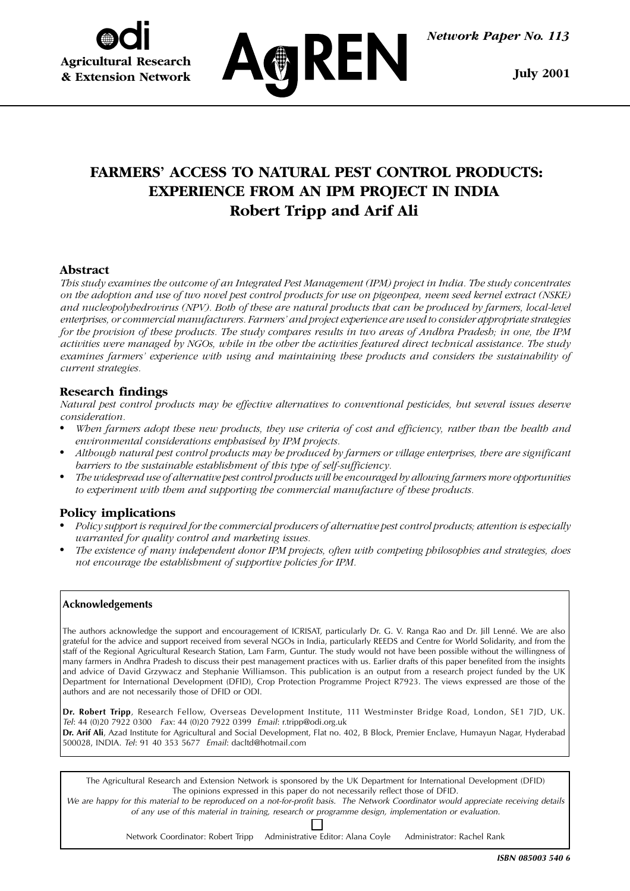





**July 2001**

# **FARMERS' ACCESS TO NATURAL PEST CONTROL PRODUCTS: EXPERIENCE FROM AN IPM PROJECT IN INDIA Robert Tripp and Arif Ali**

# **Abstract**

*This study examines the outcome of an Integrated Pest Management (IPM) project in India. The study concentrates on the adoption and use of two novel pest control products for use on pigeonpea, neem seed kernel extract (NSKE) and nucleopolyhedrovirus (NPV). Both of these are natural products that can be produced by farmers, local-level enterprises, or commercial manufacturers. Farmers' and project experience are used to consider appropriate strategies for the provision of these products. The study compares results in two areas of Andhra Pradesh; in one, the IPM activities were managed by NGOs, while in the other the activities featured direct technical assistance. The study examines farmers' experience with using and maintaining these products and considers the sustainability of current strategies.*

# **Research findings**

*Natural pest control products may be effective alternatives to conventional pesticides, but several issues deserve consideration.*

- *• When farmers adopt these new products, they use criteria of cost and efficiency, rather than the health and environmental considerations emphasised by IPM projects.*
- *• Although natural pest control products may be produced by farmers or village enterprises, there are significant barriers to the sustainable establishment of this type of self-sufficiency.*
- *• The widespread use of alternative pest control products will be encouraged by allowing farmers more opportunities to experiment with them and supporting the commercial manufacture of these products.*

# **Policy implications**

- *• Policy support is required for the commercial producers of alternative pest control products; attention is especially warranted for quality control and marketing issues.*
- *• The existence of many independent donor IPM projects, often with competing philosophies and strategies, does not encourage the establishment of supportive policies for IPM.*

## **Acknowledgements**

The authors acknowledge the support and encouragement of ICRISAT, particularly Dr. G. V. Ranga Rao and Dr. Jill Lenné. We are also grateful for the advice and support received from several NGOs in India, particularly REEDS and Centre for World Solidarity, and from the staff of the Regional Agricultural Research Station, Lam Farm, Guntur. The study would not have been possible without the willingness of many farmers in Andhra Pradesh to discuss their pest management practices with us. Earlier drafts of this paper benefited from the insights and advice of David Grzywacz and Stephanie Williamson. This publication is an output from a research project funded by the UK Department for International Development (DFID), Crop Protection Programme Project R7923. The views expressed are those of the authors and are not necessarily those of DFID or ODI.

**Dr. Robert Tripp**, Research Fellow, Overseas Development Institute, 111 Westminster Bridge Road, London, SE1 7JD, UK. Tel: 44 (0)20 7922 0300 Fax: 44 (0)20 7922 0399 Email: r.tripp@odi.org.uk

**Dr. Arif Ali**, Azad Institute for Agricultural and Social Development, Flat no. 402, B Block, Premier Enclave, Humayun Nagar, Hyderabad 500028, INDIA. Tel: 91 40 353 5677 Email: dacltd@hotmail.com

The Agricultural Research and Extension Network is sponsored by the UK Department for International Development (DFID) The opinions expressed in this paper do not necessarily reflect those of DFID.

We are happy for this material to be reproduced on a not-for-profit basis. The Network Coordinator would appreciate receiving details of any use of this material in training, research or programme design, implementation or evaluation.

Network Coordinator: Robert Tripp Administrative Editor: Alana Coyle Administrator: Rachel Rank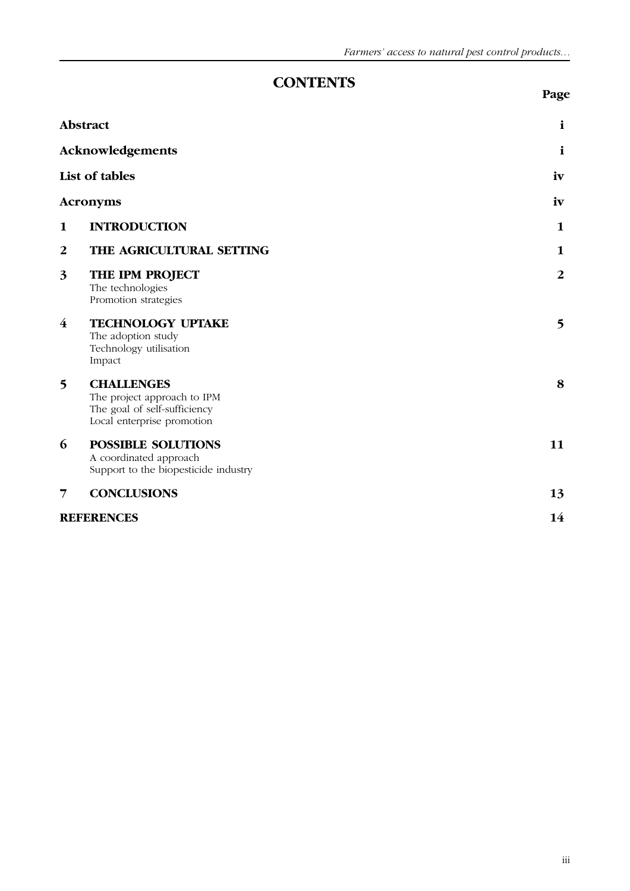**Page**

# **CONTENTS**

|                  | <b>Abstract</b>                                                                                                | $\mathbf{i}$   |
|------------------|----------------------------------------------------------------------------------------------------------------|----------------|
|                  | <b>Acknowledgements</b>                                                                                        | $\mathbf{i}$   |
|                  | List of tables                                                                                                 | iv             |
|                  | <b>Acronyms</b>                                                                                                | iv             |
| $\mathbf{1}$     | <b>INTRODUCTION</b>                                                                                            | $\mathbf{1}$   |
| $\boldsymbol{2}$ | THE AGRICULTURAL SETTING                                                                                       | $\mathbf{1}$   |
| 3                | THE IPM PROJECT<br>The technologies<br>Promotion strategies                                                    | $\overline{2}$ |
| 4                | <b>TECHNOLOGY UPTAKE</b><br>The adoption study<br>Technology utilisation<br>Impact                             | 5              |
| 5                | <b>CHALLENGES</b><br>The project approach to IPM<br>The goal of self-sufficiency<br>Local enterprise promotion | 8              |
| 6                | <b>POSSIBLE SOLUTIONS</b><br>A coordinated approach<br>Support to the biopesticide industry                    | 11             |
| 7                | <b>CONCLUSIONS</b>                                                                                             | 13             |
|                  | <b>REFERENCES</b>                                                                                              | 14             |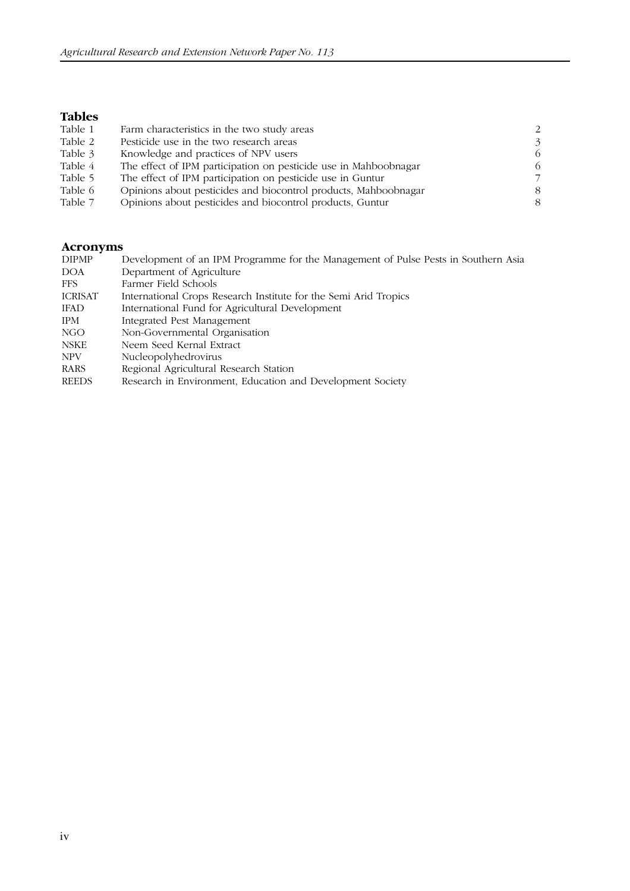# **Tables**

| Table 1 | Farm characteristics in the two study areas                      | -2                       |
|---------|------------------------------------------------------------------|--------------------------|
| Table 2 | Pesticide use in the two research areas                          | 3                        |
| Table 3 | Knowledge and practices of NPV users                             | 6                        |
| Table 4 | The effect of IPM participation on pesticide use in Mahboobnagar |                          |
| Table 5 | The effect of IPM participation on pesticide use in Guntur       | $\overline{\phantom{a}}$ |
| Table 6 | Opinions about pesticides and biocontrol products, Mahboobnagar  | 8                        |
| Table 7 | Opinions about pesticides and biocontrol products, Guntur        | 8                        |
|         |                                                                  |                          |

# **Acronyms**

| <b>DIPMP</b> | Development of an IPM Programme for the Management of Pulse Pests in Southern Asia |
|--------------|------------------------------------------------------------------------------------|
| $\Gamma$     | Donastroget of Aggination                                                          |

- DOA Department of Agriculture<br>FFS Farmer Field Schools
- FFS Farmer Field Schools<br>ICRISAT International Crops R International Crops Research Institute for the Semi Arid Tropics
- IFAD International Fund for Agricultural Development
- IPM Integrated Pest Management<br>NGO Non-Governmental Organisa
- Non-Governmental Organisation
- NSKE Neem Seed Kernal Extract<br>NPV Nucleopolyhedrovirus
- NPV Nucleopolyhedrovirus<br>RARS Regional Agricultural I
- RARS Regional Agricultural Research Station<br>REEDS Research in Environment, Education as
- Research in Environment, Education and Development Society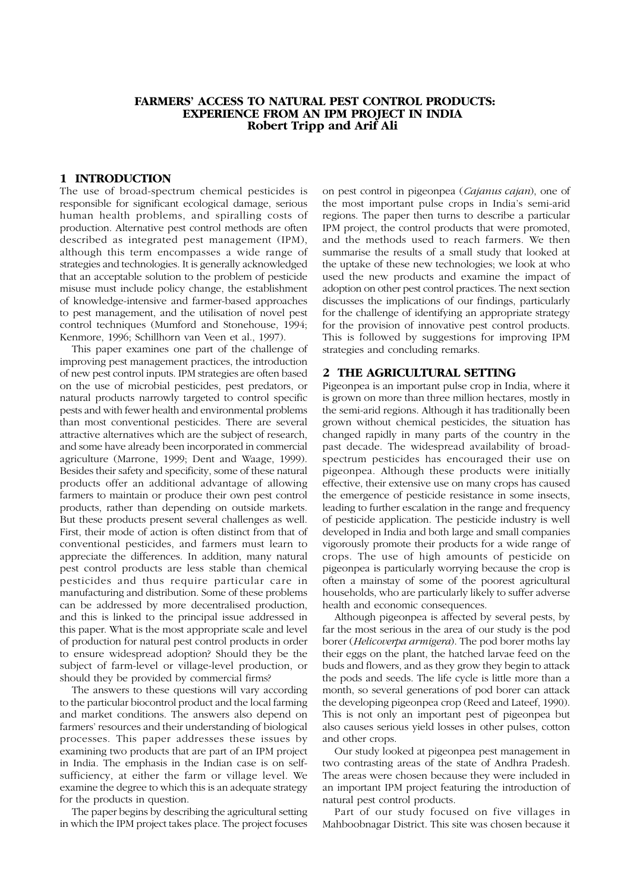## **FARMERS' ACCESS TO NATURAL PEST CONTROL PRODUCTS: EXPERIENCE FROM AN IPM PROJECT IN INDIA Robert Tripp and Arif Ali**

## **1 INTRODUCTION**

The use of broad-spectrum chemical pesticides is responsible for significant ecological damage, serious human health problems, and spiralling costs of production. Alternative pest control methods are often described as integrated pest management (IPM), although this term encompasses a wide range of strategies and technologies. It is generally acknowledged that an acceptable solution to the problem of pesticide misuse must include policy change, the establishment of knowledge-intensive and farmer-based approaches to pest management, and the utilisation of novel pest control techniques (Mumford and Stonehouse, 1994; Kenmore, 1996; Schillhorn van Veen et al., 1997).

This paper examines one part of the challenge of improving pest management practices, the introduction of new pest control inputs. IPM strategies are often based on the use of microbial pesticides, pest predators, or natural products narrowly targeted to control specific pests and with fewer health and environmental problems than most conventional pesticides. There are several attractive alternatives which are the subject of research, and some have already been incorporated in commercial agriculture (Marrone, 1999; Dent and Waage, 1999). Besides their safety and specificity, some of these natural products offer an additional advantage of allowing farmers to maintain or produce their own pest control products, rather than depending on outside markets. But these products present several challenges as well. First, their mode of action is often distinct from that of conventional pesticides, and farmers must learn to appreciate the differences. In addition, many natural pest control products are less stable than chemical pesticides and thus require particular care in manufacturing and distribution. Some of these problems can be addressed by more decentralised production, and this is linked to the principal issue addressed in this paper. What is the most appropriate scale and level of production for natural pest control products in order to ensure widespread adoption? Should they be the subject of farm-level or village-level production, or should they be provided by commercial firms?

The answers to these questions will vary according to the particular biocontrol product and the local farming and market conditions. The answers also depend on farmers' resources and their understanding of biological processes. This paper addresses these issues by examining two products that are part of an IPM project in India. The emphasis in the Indian case is on selfsufficiency, at either the farm or village level. We examine the degree to which this is an adequate strategy for the products in question.

The paper begins by describing the agricultural setting in which the IPM project takes place. The project focuses on pest control in pigeonpea (*Cajanus cajan*), one of the most important pulse crops in India's semi-arid regions. The paper then turns to describe a particular IPM project, the control products that were promoted, and the methods used to reach farmers. We then summarise the results of a small study that looked at the uptake of these new technologies; we look at who used the new products and examine the impact of adoption on other pest control practices. The next section discusses the implications of our findings, particularly for the challenge of identifying an appropriate strategy for the provision of innovative pest control products. This is followed by suggestions for improving IPM strategies and concluding remarks.

#### **2 THE AGRICULTURAL SETTING**

Pigeonpea is an important pulse crop in India, where it is grown on more than three million hectares, mostly in the semi-arid regions. Although it has traditionally been grown without chemical pesticides, the situation has changed rapidly in many parts of the country in the past decade. The widespread availability of broadspectrum pesticides has encouraged their use on pigeonpea. Although these products were initially effective, their extensive use on many crops has caused the emergence of pesticide resistance in some insects, leading to further escalation in the range and frequency of pesticide application. The pesticide industry is well developed in India and both large and small companies vigorously promote their products for a wide range of crops. The use of high amounts of pesticide on pigeonpea is particularly worrying because the crop is often a mainstay of some of the poorest agricultural households, who are particularly likely to suffer adverse health and economic consequences.

Although pigeonpea is affected by several pests, by far the most serious in the area of our study is the pod borer (*Helicoverpa armigera*). The pod borer moths lay their eggs on the plant, the hatched larvae feed on the buds and flowers, and as they grow they begin to attack the pods and seeds. The life cycle is little more than a month, so several generations of pod borer can attack the developing pigeonpea crop (Reed and Lateef, 1990). This is not only an important pest of pigeonpea but also causes serious yield losses in other pulses, cotton and other crops.

Our study looked at pigeonpea pest management in two contrasting areas of the state of Andhra Pradesh. The areas were chosen because they were included in an important IPM project featuring the introduction of natural pest control products.

Part of our study focused on five villages in Mahboobnagar District. This site was chosen because it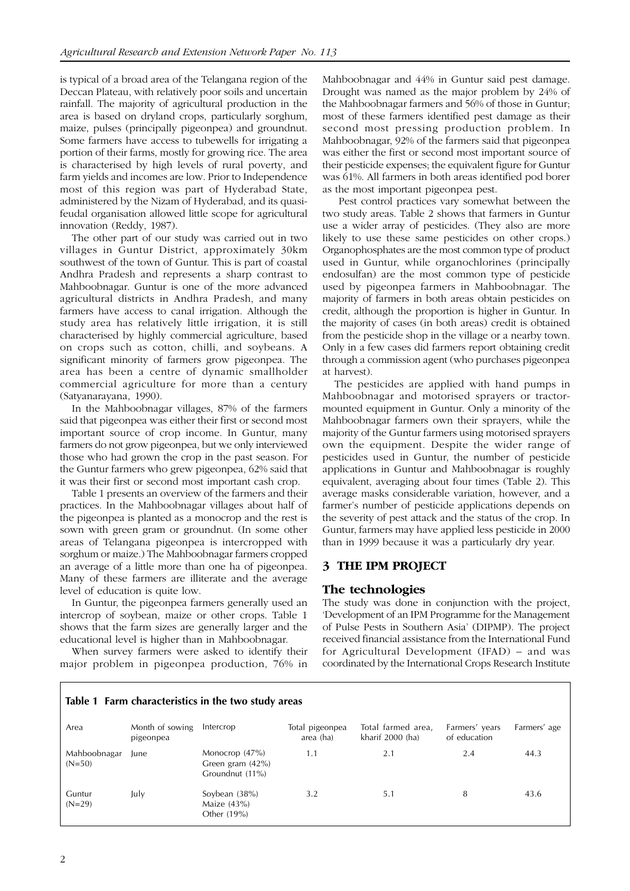is typical of a broad area of the Telangana region of the Deccan Plateau, with relatively poor soils and uncertain rainfall. The majority of agricultural production in the area is based on dryland crops, particularly sorghum, maize, pulses (principally pigeonpea) and groundnut. Some farmers have access to tubewells for irrigating a portion of their farms, mostly for growing rice. The area is characterised by high levels of rural poverty, and farm yields and incomes are low. Prior to Independence most of this region was part of Hyderabad State, administered by the Nizam of Hyderabad, and its quasifeudal organisation allowed little scope for agricultural innovation (Reddy, 1987).

The other part of our study was carried out in two villages in Guntur District, approximately 30km southwest of the town of Guntur. This is part of coastal Andhra Pradesh and represents a sharp contrast to Mahboobnagar. Guntur is one of the more advanced agricultural districts in Andhra Pradesh, and many farmers have access to canal irrigation. Although the study area has relatively little irrigation, it is still characterised by highly commercial agriculture, based on crops such as cotton, chilli, and soybeans. A significant minority of farmers grow pigeonpea. The area has been a centre of dynamic smallholder commercial agriculture for more than a century (Satyanarayana, 1990).

In the Mahboobnagar villages, 87% of the farmers said that pigeonpea was either their first or second most important source of crop income. In Guntur, many farmers do not grow pigeonpea, but we only interviewed those who had grown the crop in the past season. For the Guntur farmers who grew pigeonpea, 62% said that it was their first or second most important cash crop.

Table 1 presents an overview of the farmers and their practices. In the Mahboobnagar villages about half of the pigeonpea is planted as a monocrop and the rest is sown with green gram or groundnut. (In some other areas of Telangana pigeonpea is intercropped with sorghum or maize.) The Mahboobnagar farmers cropped an average of a little more than one ha of pigeonpea. Many of these farmers are illiterate and the average level of education is quite low.

In Guntur, the pigeonpea farmers generally used an intercrop of soybean, maize or other crops. Table 1 shows that the farm sizes are generally larger and the educational level is higher than in Mahboobnagar.

When survey farmers were asked to identify their major problem in pigeonpea production, 76% in Mahboobnagar and 44% in Guntur said pest damage. Drought was named as the major problem by 24% of the Mahboobnagar farmers and 56% of those in Guntur; most of these farmers identified pest damage as their second most pressing production problem. In Mahboobnagar, 92% of the farmers said that pigeonpea was either the first or second most important source of their pesticide expenses; the equivalent figure for Guntur was 61%. All farmers in both areas identified pod borer as the most important pigeonpea pest.

 Pest control practices vary somewhat between the two study areas. Table 2 shows that farmers in Guntur use a wider array of pesticides. (They also are more likely to use these same pesticides on other crops.) Organophosphates are the most common type of product used in Guntur, while organochlorines (principally endosulfan) are the most common type of pesticide used by pigeonpea farmers in Mahboobnagar. The majority of farmers in both areas obtain pesticides on credit, although the proportion is higher in Guntur. In the majority of cases (in both areas) credit is obtained from the pesticide shop in the village or a nearby town. Only in a few cases did farmers report obtaining credit through a commission agent (who purchases pigeonpea at harvest).

The pesticides are applied with hand pumps in Mahboobnagar and motorised sprayers or tractormounted equipment in Guntur. Only a minority of the Mahboobnagar farmers own their sprayers, while the majority of the Guntur farmers using motorised sprayers own the equipment. Despite the wider range of pesticides used in Guntur, the number of pesticide applications in Guntur and Mahboobnagar is roughly equivalent, averaging about four times (Table 2). This average masks considerable variation, however, and a farmer's number of pesticide applications depends on the severity of pest attack and the status of the crop. In Guntur, farmers may have applied less pesticide in 2000 than in 1999 because it was a particularly dry year.

# **3 THE IPM PROJECT**

# **The technologies**

The study was done in conjunction with the project, 'Development of an IPM Programme for the Management of Pulse Pests in Southern Asia' (DIPMP). The project received financial assistance from the International Fund for Agricultural Development (IFAD) – and was coordinated by the International Crops Research Institute

|                          |                              | Table T Farm Characteristics in the two study areas        |                              |                                        |                                |              |
|--------------------------|------------------------------|------------------------------------------------------------|------------------------------|----------------------------------------|--------------------------------|--------------|
| Area                     | Month of sowing<br>pigeonpea | Intercrop                                                  | Total pigeonpea<br>area (ha) | Total farmed area,<br>kharif 2000 (ha) | Farmers' years<br>of education | Farmers' age |
| Mahboobnagar<br>$(N=50)$ | June                         | Monocrop $(47%)$<br>Green gram $(42\%)$<br>Groundnut (11%) | 1.1                          | 2.1                                    | 2.4                            | 44.3         |
| Guntur<br>$(N=29)$       | July                         | Soybean $(38%)$<br>Maize $(43\%)$<br>Other $(19\%)$        | 3.2                          | 5.1                                    | 8                              | 43.6         |

# **Table 1 Farm characteristics in the two study areas**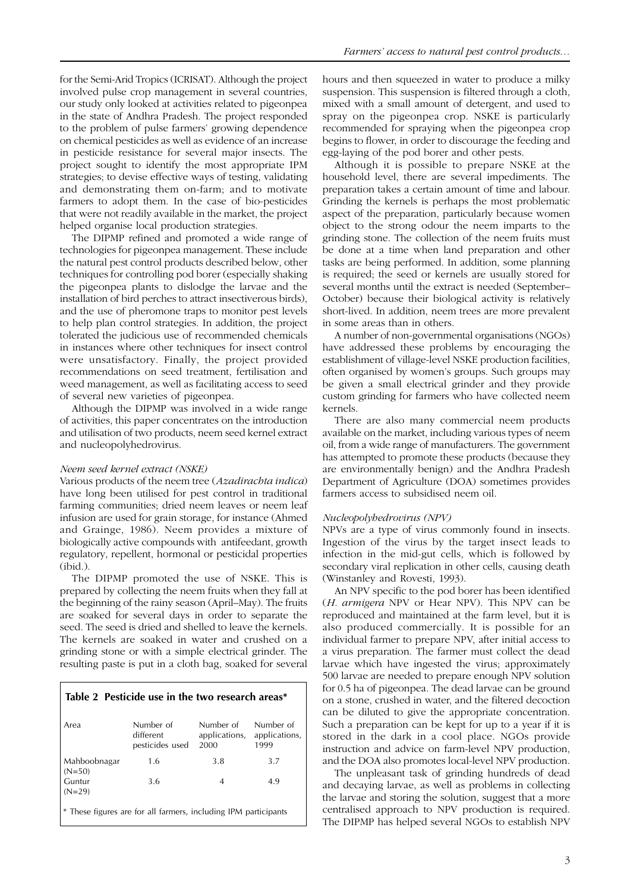for the Semi-Arid Tropics (ICRISAT). Although the project involved pulse crop management in several countries, our study only looked at activities related to pigeonpea in the state of Andhra Pradesh. The project responded to the problem of pulse farmers' growing dependence on chemical pesticides as well as evidence of an increase in pesticide resistance for several major insects. The project sought to identify the most appropriate IPM strategies; to devise effective ways of testing, validating and demonstrating them on-farm; and to motivate farmers to adopt them. In the case of bio-pesticides that were not readily available in the market, the project helped organise local production strategies.

The DIPMP refined and promoted a wide range of technologies for pigeonpea management. These include the natural pest control products described below, other techniques for controlling pod borer (especially shaking the pigeonpea plants to dislodge the larvae and the installation of bird perches to attract insectiverous birds), and the use of pheromone traps to monitor pest levels to help plan control strategies. In addition, the project tolerated the judicious use of recommended chemicals in instances where other techniques for insect control were unsatisfactory. Finally, the project provided recommendations on seed treatment, fertilisation and weed management, as well as facilitating access to seed of several new varieties of pigeonpea.

Although the DIPMP was involved in a wide range of activities, this paper concentrates on the introduction and utilisation of two products, neem seed kernel extract and nucleopolyhedrovirus.

#### *Neem seed kernel extract (NSKE)*

Various products of the neem tree (*Azadirachta indica*) have long been utilised for pest control in traditional farming communities; dried neem leaves or neem leaf infusion are used for grain storage, for instance (Ahmed and Grainge, 1986). Neem provides a mixture of biologically active compounds with antifeedant, growth regulatory, repellent, hormonal or pesticidal properties (ibid.).

The DIPMP promoted the use of NSKE. This is prepared by collecting the neem fruits when they fall at the beginning of the rainy season (April–May). The fruits are soaked for several days in order to separate the seed. The seed is dried and shelled to leave the kernels. The kernels are soaked in water and crushed on a grinding stone or with a simple electrical grinder. The resulting paste is put in a cloth bag, soaked for several

|                          | Table 2 Pesticide use in the two research areas*                |                                    |                                    |
|--------------------------|-----------------------------------------------------------------|------------------------------------|------------------------------------|
| Area                     | Number of<br>different<br>pesticides used                       | Number of<br>applications,<br>2000 | Number of<br>applications,<br>1999 |
| Mahboobnagar<br>$(N=50)$ | 1.6                                                             | 3.8                                | 3.7                                |
| Guntur<br>$(N=29)$       | 3.6                                                             | 4                                  | 4.9                                |
|                          | * These figures are for all farmers, including IPM participants |                                    |                                    |

hours and then squeezed in water to produce a milky suspension. This suspension is filtered through a cloth, mixed with a small amount of detergent, and used to spray on the pigeonpea crop. NSKE is particularly recommended for spraying when the pigeonpea crop begins to flower, in order to discourage the feeding and egg-laying of the pod borer and other pests.

Although it is possible to prepare NSKE at the household level, there are several impediments. The preparation takes a certain amount of time and labour. Grinding the kernels is perhaps the most problematic aspect of the preparation, particularly because women object to the strong odour the neem imparts to the grinding stone. The collection of the neem fruits must be done at a time when land preparation and other tasks are being performed. In addition, some planning is required; the seed or kernels are usually stored for several months until the extract is needed (September– October) because their biological activity is relatively short-lived. In addition, neem trees are more prevalent in some areas than in others.

A number of non-governmental organisations (NGOs) have addressed these problems by encouraging the establishment of village-level NSKE production facilities, often organised by women's groups. Such groups may be given a small electrical grinder and they provide custom grinding for farmers who have collected neem kernels.

There are also many commercial neem products available on the market, including various types of neem oil, from a wide range of manufacturers. The government has attempted to promote these products (because they are environmentally benign) and the Andhra Pradesh Department of Agriculture (DOA) sometimes provides farmers access to subsidised neem oil.

#### *Nucleopolyhedrovirus (NPV)*

NPVs are a type of virus commonly found in insects. Ingestion of the virus by the target insect leads to infection in the mid-gut cells, which is followed by secondary viral replication in other cells, causing death (Winstanley and Rovesti, 1993).

An NPV specific to the pod borer has been identified (*H. armigera* NPV or Hear NPV). This NPV can be reproduced and maintained at the farm level, but it is also produced commercially. It is possible for an individual farmer to prepare NPV, after initial access to a virus preparation. The farmer must collect the dead larvae which have ingested the virus; approximately 500 larvae are needed to prepare enough NPV solution for 0.5 ha of pigeonpea. The dead larvae can be ground on a stone, crushed in water, and the filtered decoction can be diluted to give the appropriate concentration. Such a preparation can be kept for up to a year if it is stored in the dark in a cool place. NGOs provide instruction and advice on farm-level NPV production, and the DOA also promotes local-level NPV production.

The unpleasant task of grinding hundreds of dead and decaying larvae, as well as problems in collecting the larvae and storing the solution, suggest that a more centralised approach to NPV production is required. The DIPMP has helped several NGOs to establish NPV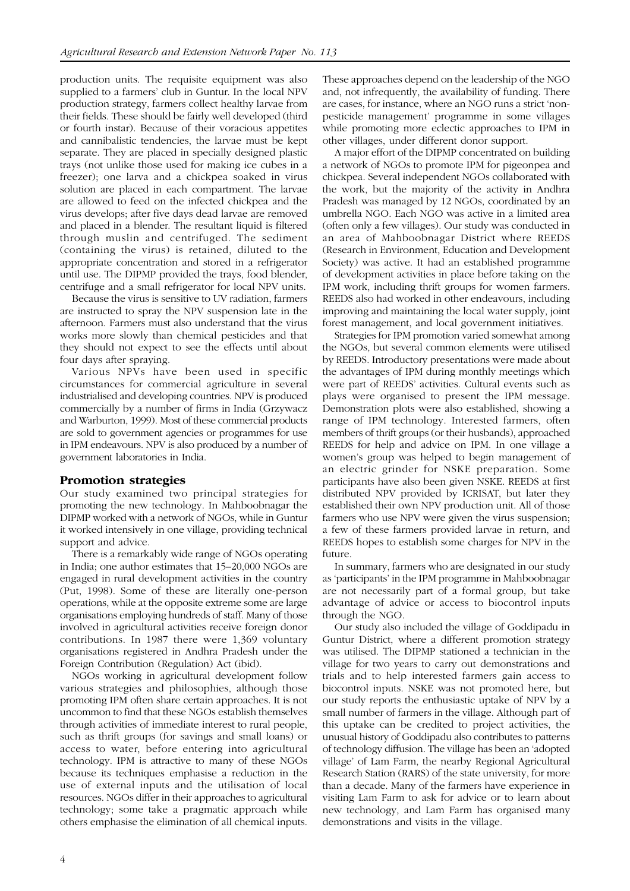production units. The requisite equipment was also supplied to a farmers' club in Guntur. In the local NPV production strategy, farmers collect healthy larvae from their fields. These should be fairly well developed (third or fourth instar). Because of their voracious appetites and cannibalistic tendencies, the larvae must be kept separate. They are placed in specially designed plastic trays (not unlike those used for making ice cubes in a freezer); one larva and a chickpea soaked in virus solution are placed in each compartment. The larvae are allowed to feed on the infected chickpea and the virus develops; after five days dead larvae are removed and placed in a blender. The resultant liquid is filtered through muslin and centrifuged. The sediment (containing the virus) is retained, diluted to the appropriate concentration and stored in a refrigerator until use. The DIPMP provided the trays, food blender, centrifuge and a small refrigerator for local NPV units.

Because the virus is sensitive to UV radiation, farmers are instructed to spray the NPV suspension late in the afternoon. Farmers must also understand that the virus works more slowly than chemical pesticides and that they should not expect to see the effects until about four days after spraying.

Various NPVs have been used in specific circumstances for commercial agriculture in several industrialised and developing countries. NPV is produced commercially by a number of firms in India (Grzywacz and Warburton, 1999). Most of these commercial products are sold to government agencies or programmes for use in IPM endeavours. NPV is also produced by a number of government laboratories in India.

#### **Promotion strategies**

Our study examined two principal strategies for promoting the new technology. In Mahboobnagar the DIPMP worked with a network of NGOs, while in Guntur it worked intensively in one village, providing technical support and advice.

There is a remarkably wide range of NGOs operating in India; one author estimates that 15–20,000 NGOs are engaged in rural development activities in the country (Put, 1998). Some of these are literally one-person operations, while at the opposite extreme some are large organisations employing hundreds of staff. Many of those involved in agricultural activities receive foreign donor contributions. In 1987 there were 1,369 voluntary organisations registered in Andhra Pradesh under the Foreign Contribution (Regulation) Act (ibid).

NGOs working in agricultural development follow various strategies and philosophies, although those promoting IPM often share certain approaches. It is not uncommon to find that these NGOs establish themselves through activities of immediate interest to rural people, such as thrift groups (for savings and small loans) or access to water, before entering into agricultural technology. IPM is attractive to many of these NGOs because its techniques emphasise a reduction in the use of external inputs and the utilisation of local resources. NGOs differ in their approaches to agricultural technology; some take a pragmatic approach while others emphasise the elimination of all chemical inputs. These approaches depend on the leadership of the NGO and, not infrequently, the availability of funding. There are cases, for instance, where an NGO runs a strict 'nonpesticide management' programme in some villages while promoting more eclectic approaches to IPM in other villages, under different donor support.

A major effort of the DIPMP concentrated on building a network of NGOs to promote IPM for pigeonpea and chickpea. Several independent NGOs collaborated with the work, but the majority of the activity in Andhra Pradesh was managed by 12 NGOs, coordinated by an umbrella NGO. Each NGO was active in a limited area (often only a few villages). Our study was conducted in an area of Mahboobnagar District where REEDS (Research in Environment, Education and Development Society) was active. It had an established programme of development activities in place before taking on the IPM work, including thrift groups for women farmers. REEDS also had worked in other endeavours, including improving and maintaining the local water supply, joint forest management, and local government initiatives.

Strategies for IPM promotion varied somewhat among the NGOs, but several common elements were utilised by REEDS. Introductory presentations were made about the advantages of IPM during monthly meetings which were part of REEDS' activities. Cultural events such as plays were organised to present the IPM message. Demonstration plots were also established, showing a range of IPM technology. Interested farmers, often members of thrift groups (or their husbands), approached REEDS for help and advice on IPM. In one village a women's group was helped to begin management of an electric grinder for NSKE preparation. Some participants have also been given NSKE. REEDS at first distributed NPV provided by ICRISAT, but later they established their own NPV production unit. All of those farmers who use NPV were given the virus suspension; a few of these farmers provided larvae in return, and REEDS hopes to establish some charges for NPV in the future.

In summary, farmers who are designated in our study as 'participants' in the IPM programme in Mahboobnagar are not necessarily part of a formal group, but take advantage of advice or access to biocontrol inputs through the NGO.

Our study also included the village of Goddipadu in Guntur District, where a different promotion strategy was utilised. The DIPMP stationed a technician in the village for two years to carry out demonstrations and trials and to help interested farmers gain access to biocontrol inputs. NSKE was not promoted here, but our study reports the enthusiastic uptake of NPV by a small number of farmers in the village. Although part of this uptake can be credited to project activities, the unusual history of Goddipadu also contributes to patterns of technology diffusion. The village has been an 'adopted village' of Lam Farm, the nearby Regional Agricultural Research Station (RARS) of the state university, for more than a decade. Many of the farmers have experience in visiting Lam Farm to ask for advice or to learn about new technology, and Lam Farm has organised many demonstrations and visits in the village.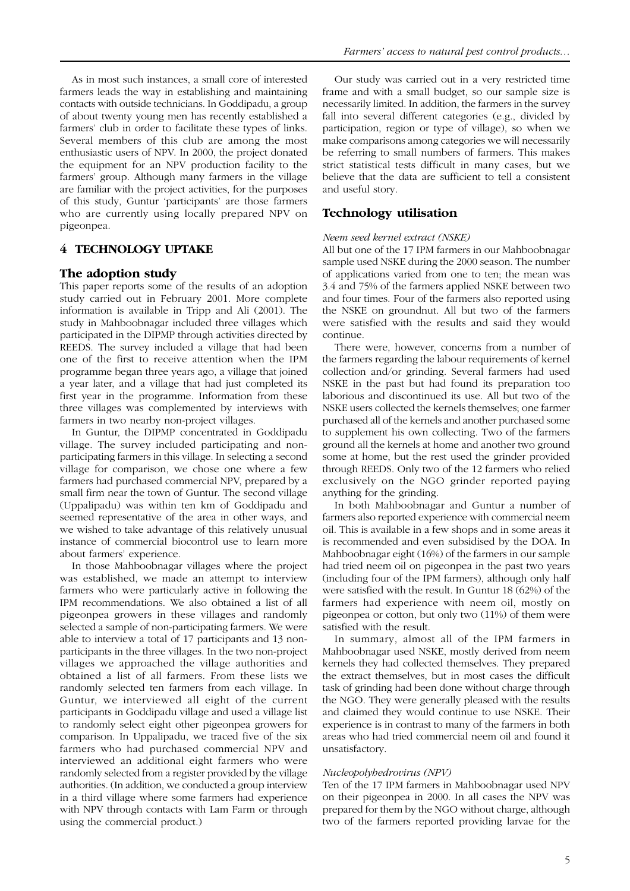As in most such instances, a small core of interested farmers leads the way in establishing and maintaining contacts with outside technicians. In Goddipadu, a group of about twenty young men has recently established a farmers' club in order to facilitate these types of links. Several members of this club are among the most enthusiastic users of NPV. In 2000, the project donated the equipment for an NPV production facility to the farmers' group. Although many farmers in the village are familiar with the project activities, for the purposes of this study, Guntur 'participants' are those farmers who are currently using locally prepared NPV on pigeonpea.

## **4 TECHNOLOGY UPTAKE**

### **The adoption study**

This paper reports some of the results of an adoption study carried out in February 2001. More complete information is available in Tripp and Ali (2001). The study in Mahboobnagar included three villages which participated in the DIPMP through activities directed by REEDS. The survey included a village that had been one of the first to receive attention when the IPM programme began three years ago, a village that joined a year later, and a village that had just completed its first year in the programme. Information from these three villages was complemented by interviews with farmers in two nearby non-project villages.

In Guntur, the DIPMP concentrated in Goddipadu village. The survey included participating and nonparticipating farmers in this village. In selecting a second village for comparison, we chose one where a few farmers had purchased commercial NPV, prepared by a small firm near the town of Guntur. The second village (Uppalipadu) was within ten km of Goddipadu and seemed representative of the area in other ways, and we wished to take advantage of this relatively unusual instance of commercial biocontrol use to learn more about farmers' experience.

In those Mahboobnagar villages where the project was established, we made an attempt to interview farmers who were particularly active in following the IPM recommendations. We also obtained a list of all pigeonpea growers in these villages and randomly selected a sample of non-participating farmers. We were able to interview a total of 17 participants and 13 nonparticipants in the three villages. In the two non-project villages we approached the village authorities and obtained a list of all farmers. From these lists we randomly selected ten farmers from each village. In Guntur, we interviewed all eight of the current participants in Goddipadu village and used a village list to randomly select eight other pigeonpea growers for comparison. In Uppalipadu, we traced five of the six farmers who had purchased commercial NPV and interviewed an additional eight farmers who were randomly selected from a register provided by the village authorities. (In addition, we conducted a group interview in a third village where some farmers had experience with NPV through contacts with Lam Farm or through using the commercial product.)

Our study was carried out in a very restricted time frame and with a small budget, so our sample size is necessarily limited. In addition, the farmers in the survey fall into several different categories (e.g., divided by participation, region or type of village), so when we make comparisons among categories we will necessarily be referring to small numbers of farmers. This makes strict statistical tests difficult in many cases, but we believe that the data are sufficient to tell a consistent and useful story.

## **Technology utilisation**

#### *Neem seed kernel extract (NSKE)*

All but one of the 17 IPM farmers in our Mahboobnagar sample used NSKE during the 2000 season. The number of applications varied from one to ten; the mean was 3.4 and 75% of the farmers applied NSKE between two and four times. Four of the farmers also reported using the NSKE on groundnut. All but two of the farmers were satisfied with the results and said they would continue.

There were, however, concerns from a number of the farmers regarding the labour requirements of kernel collection and/or grinding. Several farmers had used NSKE in the past but had found its preparation too laborious and discontinued its use. All but two of the NSKE users collected the kernels themselves; one farmer purchased all of the kernels and another purchased some to supplement his own collecting. Two of the farmers ground all the kernels at home and another two ground some at home, but the rest used the grinder provided through REEDS. Only two of the 12 farmers who relied exclusively on the NGO grinder reported paying anything for the grinding.

In both Mahboobnagar and Guntur a number of farmers also reported experience with commercial neem oil. This is available in a few shops and in some areas it is recommended and even subsidised by the DOA. In Mahboobnagar eight (16%) of the farmers in our sample had tried neem oil on pigeonpea in the past two years (including four of the IPM farmers), although only half were satisfied with the result. In Guntur 18 (62%) of the farmers had experience with neem oil, mostly on pigeonpea or cotton, but only two (11%) of them were satisfied with the result.

In summary, almost all of the IPM farmers in Mahboobnagar used NSKE, mostly derived from neem kernels they had collected themselves. They prepared the extract themselves, but in most cases the difficult task of grinding had been done without charge through the NGO. They were generally pleased with the results and claimed they would continue to use NSKE. Their experience is in contrast to many of the farmers in both areas who had tried commercial neem oil and found it unsatisfactory.

#### *Nucleopolyhedrovirus (NPV)*

Ten of the 17 IPM farmers in Mahboobnagar used NPV on their pigeonpea in 2000. In all cases the NPV was prepared for them by the NGO without charge, although two of the farmers reported providing larvae for the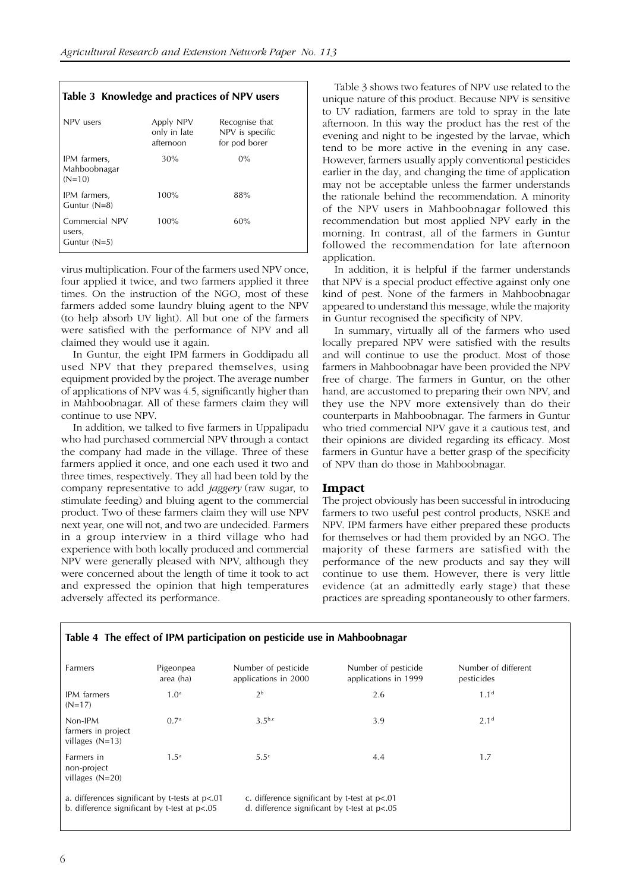| NPV users                                  | Apply NPV<br>only in late<br>afternoon | Recognise that<br>NPV is specific<br>for pod borer |
|--------------------------------------------|----------------------------------------|----------------------------------------------------|
| IPM farmers,<br>Mahboobnagar<br>$(N=10)$   | 30%                                    | $0\%$                                              |
| IPM farmers,<br>Guntur $(N=8)$             | 100%                                   | 88%                                                |
| Commercial NPV<br>users,<br>Guntur $(N=5)$ | 100%                                   | 60%                                                |

virus multiplication. Four of the farmers used NPV once, four applied it twice, and two farmers applied it three times. On the instruction of the NGO, most of these farmers added some laundry bluing agent to the NPV (to help absorb UV light). All but one of the farmers were satisfied with the performance of NPV and all claimed they would use it again.

In Guntur, the eight IPM farmers in Goddipadu all used NPV that they prepared themselves, using equipment provided by the project. The average number of applications of NPV was 4.5, significantly higher than in Mahboobnagar. All of these farmers claim they will continue to use NPV.

In addition, we talked to five farmers in Uppalipadu who had purchased commercial NPV through a contact the company had made in the village. Three of these farmers applied it once, and one each used it two and three times, respectively. They all had been told by the company representative to add *jaggery* (raw sugar, to stimulate feeding) and bluing agent to the commercial product. Two of these farmers claim they will use NPV next year, one will not, and two are undecided. Farmers in a group interview in a third village who had experience with both locally produced and commercial NPV were generally pleased with NPV, although they were concerned about the length of time it took to act and expressed the opinion that high temperatures adversely affected its performance.

Table 3 shows two features of NPV use related to the unique nature of this product. Because NPV is sensitive to UV radiation, farmers are told to spray in the late afternoon. In this way the product has the rest of the evening and night to be ingested by the larvae, which tend to be more active in the evening in any case. However, farmers usually apply conventional pesticides earlier in the day, and changing the time of application may not be acceptable unless the farmer understands the rationale behind the recommendation. A minority of the NPV users in Mahboobnagar followed this recommendation but most applied NPV early in the morning. In contrast, all of the farmers in Guntur followed the recommendation for late afternoon application.

In addition, it is helpful if the farmer understands that NPV is a special product effective against only one kind of pest. None of the farmers in Mahboobnagar appeared to understand this message, while the majority in Guntur recognised the specificity of NPV.

In summary, virtually all of the farmers who used locally prepared NPV were satisfied with the results and will continue to use the product. Most of those farmers in Mahboobnagar have been provided the NPV free of charge. The farmers in Guntur, on the other hand, are accustomed to preparing their own NPV, and they use the NPV more extensively than do their counterparts in Mahboobnagar. The farmers in Guntur who tried commercial NPV gave it a cautious test, and their opinions are divided regarding its efficacy. Most farmers in Guntur have a better grasp of the specificity of NPV than do those in Mahboobnagar.

#### **Impact**

The project obviously has been successful in introducing farmers to two useful pest control products, NSKE and NPV. IPM farmers have either prepared these products for themselves or had them provided by an NGO. The majority of these farmers are satisfied with the performance of the new products and say they will continue to use them. However, there is very little evidence (at an admittedly early stage) that these practices are spreading spontaneously to other farmers.

|                                                                                                    | Table 4 The effect of IPM participation on pesticide use in Mahboobnagar |                                                                                                  |                                             |                                   |
|----------------------------------------------------------------------------------------------------|--------------------------------------------------------------------------|--------------------------------------------------------------------------------------------------|---------------------------------------------|-----------------------------------|
| Farmers                                                                                            | Pigeonpea<br>area (ha)                                                   | Number of pesticide<br>applications in 2000                                                      | Number of pesticide<br>applications in 1999 | Number of different<br>pesticides |
| <b>IPM</b> farmers<br>$(N=17)$                                                                     | 1.0 <sup>a</sup>                                                         | 2 <sup>b</sup>                                                                                   | 2.6                                         | 1.1 <sup>d</sup>                  |
| Non-IPM<br>farmers in project<br>villages $(N=13)$                                                 | 0.7 <sup>a</sup>                                                         | $3.5^{b,c}$                                                                                      | 3.9                                         | 2.1 <sup>d</sup>                  |
| Farmers in<br>non-project<br>villages $(N=20)$                                                     | 1.5 <sup>a</sup>                                                         | 5.5 <sup>c</sup>                                                                                 | 4.4                                         | 1.7                               |
| a. differences significant by t-tests at $p<01$<br>b. difference significant by t-test at $p<0.05$ |                                                                          | c. difference significant by t-test at $p<01$<br>d. difference significant by t-test at $p<0.05$ |                                             |                                   |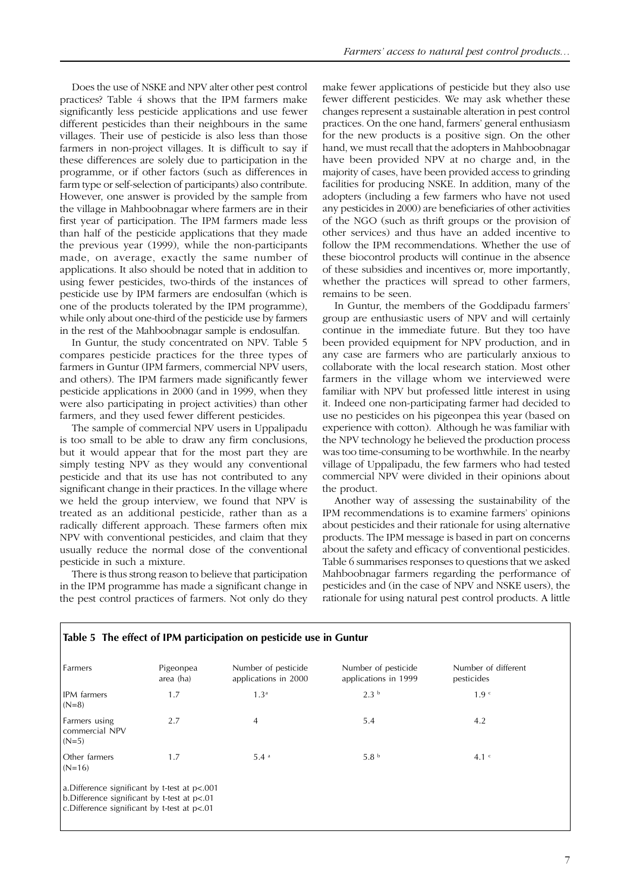Does the use of NSKE and NPV alter other pest control practices? Table 4 shows that the IPM farmers make significantly less pesticide applications and use fewer different pesticides than their neighbours in the same villages. Their use of pesticide is also less than those farmers in non-project villages. It is difficult to say if these differences are solely due to participation in the programme, or if other factors (such as differences in farm type or self-selection of participants) also contribute. However, one answer is provided by the sample from the village in Mahboobnagar where farmers are in their first year of participation. The IPM farmers made less than half of the pesticide applications that they made the previous year (1999), while the non-participants made, on average, exactly the same number of applications. It also should be noted that in addition to using fewer pesticides, two-thirds of the instances of pesticide use by IPM farmers are endosulfan (which is one of the products tolerated by the IPM programme), while only about one-third of the pesticide use by farmers in the rest of the Mahboobnagar sample is endosulfan.

In Guntur, the study concentrated on NPV. Table 5 compares pesticide practices for the three types of farmers in Guntur (IPM farmers, commercial NPV users, and others). The IPM farmers made significantly fewer pesticide applications in 2000 (and in 1999, when they were also participating in project activities) than other farmers, and they used fewer different pesticides.

The sample of commercial NPV users in Uppalipadu is too small to be able to draw any firm conclusions, but it would appear that for the most part they are simply testing NPV as they would any conventional pesticide and that its use has not contributed to any significant change in their practices. In the village where we held the group interview, we found that NPV is treated as an additional pesticide, rather than as a radically different approach. These farmers often mix NPV with conventional pesticides, and claim that they usually reduce the normal dose of the conventional pesticide in such a mixture.

There is thus strong reason to believe that participation in the IPM programme has made a significant change in the pest control practices of farmers. Not only do they make fewer applications of pesticide but they also use fewer different pesticides. We may ask whether these changes represent a sustainable alteration in pest control practices. On the one hand, farmers' general enthusiasm for the new products is a positive sign. On the other hand, we must recall that the adopters in Mahboobnagar have been provided NPV at no charge and, in the majority of cases, have been provided access to grinding facilities for producing NSKE. In addition, many of the adopters (including a few farmers who have not used any pesticides in 2000) are beneficiaries of other activities of the NGO (such as thrift groups or the provision of other services) and thus have an added incentive to follow the IPM recommendations. Whether the use of these biocontrol products will continue in the absence of these subsidies and incentives or, more importantly, whether the practices will spread to other farmers, remains to be seen.

In Guntur, the members of the Goddipadu farmers' group are enthusiastic users of NPV and will certainly continue in the immediate future. But they too have been provided equipment for NPV production, and in any case are farmers who are particularly anxious to collaborate with the local research station. Most other farmers in the village whom we interviewed were familiar with NPV but professed little interest in using it. Indeed one non-participating farmer had decided to use no pesticides on his pigeonpea this year (based on experience with cotton). Although he was familiar with the NPV technology he believed the production process was too time-consuming to be worthwhile. In the nearby village of Uppalipadu, the few farmers who had tested commercial NPV were divided in their opinions about the product.

Another way of assessing the sustainability of the IPM recommendations is to examine farmers' opinions about pesticides and their rationale for using alternative products. The IPM message is based in part on concerns about the safety and efficacy of conventional pesticides. Table 6 summarises responses to questions that we asked Mahboobnagar farmers regarding the performance of pesticides and (in the case of NPV and NSKE users), the rationale for using natural pest control products. A little

|                                                                                                                                             | Table 5 The effect of IPM participation on pesticide use in Guntur |                                             |                                             |                                   |
|---------------------------------------------------------------------------------------------------------------------------------------------|--------------------------------------------------------------------|---------------------------------------------|---------------------------------------------|-----------------------------------|
| Farmers                                                                                                                                     | Pigeonpea<br>area (ha)                                             | Number of pesticide<br>applications in 2000 | Number of pesticide<br>applications in 1999 | Number of different<br>pesticides |
| <b>IPM</b> farmers<br>$(N=8)$                                                                                                               | 1.7                                                                | 1.3 <sup>a</sup>                            | 2.3 <sup>b</sup>                            | 1.9 <sup>c</sup>                  |
| Farmers using<br>commercial NPV<br>$(N=5)$                                                                                                  | 2.7                                                                | 4                                           | 5.4                                         | 4.2                               |
| Other farmers<br>$(N=16)$                                                                                                                   | 1.7                                                                | 5.4a                                        | 5.8 $b$                                     | 4.1 <sup>c</sup>                  |
| a.Difference significant by t-test at p<.001<br>b.Difference significant by t-test at p<.01<br>c.Difference significant by t-test at $p<01$ |                                                                    |                                             |                                             |                                   |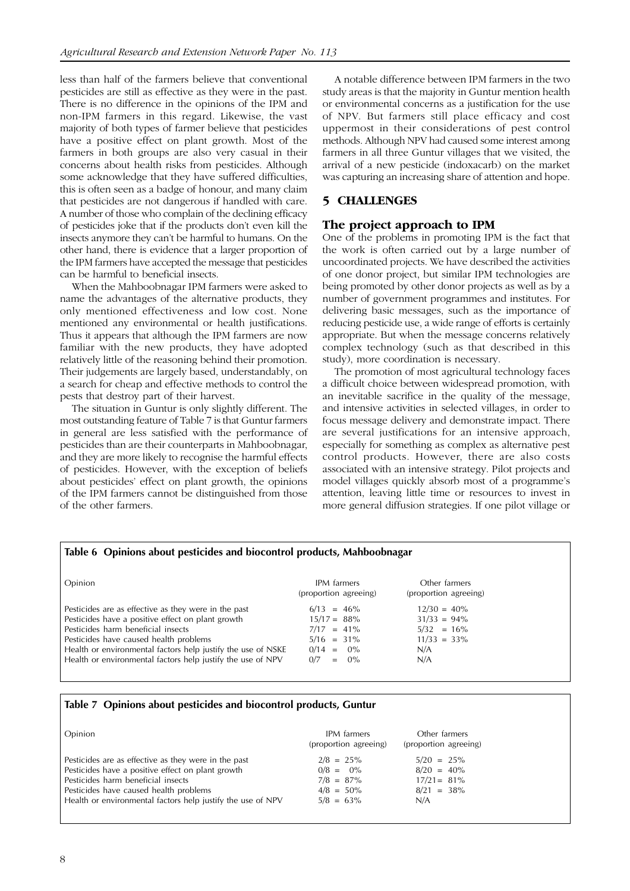less than half of the farmers believe that conventional pesticides are still as effective as they were in the past. There is no difference in the opinions of the IPM and non-IPM farmers in this regard. Likewise, the vast majority of both types of farmer believe that pesticides have a positive effect on plant growth. Most of the farmers in both groups are also very casual in their concerns about health risks from pesticides. Although some acknowledge that they have suffered difficulties, this is often seen as a badge of honour, and many claim that pesticides are not dangerous if handled with care. A number of those who complain of the declining efficacy of pesticides joke that if the products don't even kill the insects anymore they can't be harmful to humans. On the other hand, there is evidence that a larger proportion of the IPM farmers have accepted the message that pesticides can be harmful to beneficial insects.

When the Mahboobnagar IPM farmers were asked to name the advantages of the alternative products, they only mentioned effectiveness and low cost. None mentioned any environmental or health justifications. Thus it appears that although the IPM farmers are now familiar with the new products, they have adopted relatively little of the reasoning behind their promotion. Their judgements are largely based, understandably, on a search for cheap and effective methods to control the pests that destroy part of their harvest.

The situation in Guntur is only slightly different. The most outstanding feature of Table 7 is that Guntur farmers in general are less satisfied with the performance of pesticides than are their counterparts in Mahboobnagar, and they are more likely to recognise the harmful effects of pesticides. However, with the exception of beliefs about pesticides' effect on plant growth, the opinions of the IPM farmers cannot be distinguished from those of the other farmers.

A notable difference between IPM farmers in the two study areas is that the majority in Guntur mention health or environmental concerns as a justification for the use of NPV. But farmers still place efficacy and cost uppermost in their considerations of pest control methods. Although NPV had caused some interest among farmers in all three Guntur villages that we visited, the arrival of a new pesticide (indoxacarb) on the market was capturing an increasing share of attention and hope.

## **5 CHALLENGES**

### **The project approach to IPM**

One of the problems in promoting IPM is the fact that the work is often carried out by a large number of uncoordinated projects. We have described the activities of one donor project, but similar IPM technologies are being promoted by other donor projects as well as by a number of government programmes and institutes. For delivering basic messages, such as the importance of reducing pesticide use, a wide range of efforts is certainly appropriate. But when the message concerns relatively complex technology (such as that described in this study), more coordination is necessary.

The promotion of most agricultural technology faces a difficult choice between widespread promotion, with an inevitable sacrifice in the quality of the message, and intensive activities in selected villages, in order to focus message delivery and demonstrate impact. There are several justifications for an intensive approach, especially for something as complex as alternative pest control products. However, there are also costs associated with an intensive strategy. Pilot projects and model villages quickly absorb most of a programme's attention, leaving little time or resources to invest in more general diffusion strategies. If one pilot village or

| Table 6 Opinions about pesticides and biocontrol products, Mahboobnagar |                                             |                                        |
|-------------------------------------------------------------------------|---------------------------------------------|----------------------------------------|
| Opinion                                                                 | <b>IPM</b> farmers<br>(proportion agreeing) | Other farmers<br>(proportion agreeing) |
| Pesticides are as effective as they were in the past                    | $6/13 = 46\%$                               | $12/30 = 40\%$                         |
| Pesticides have a positive effect on plant growth                       | $15/17 = 88\%$                              | $31/33 = 94\%$                         |
| Pesticides harm beneficial insects                                      | $7/17 = 41\%$                               | $5/32 = 16\%$                          |
| Pesticides have caused health problems                                  | $5/16 = 31\%$                               | $11/33 = 33\%$                         |
| Health or environmental factors help justify the use of NSKE            | $0/14 = 0\%$                                | N/A                                    |
| Health or environmental factors help justify the use of NPV             | 0/7<br>$0\%$<br>$=$                         | N/A                                    |

### **Table 7 Opinions about pesticides and biocontrol products, Guntur**

| Opinion                                                     | IPM farmers<br>(proportion agreeing) | Other farmers<br>(proportion agreeing) |
|-------------------------------------------------------------|--------------------------------------|----------------------------------------|
| Pesticides are as effective as they were in the past        | $2/8$ = 25%                          | $5/20 = 25\%$                          |
| Pesticides have a positive effect on plant growth           | $0/8 = 0\%$                          | $8/20 = 40\%$                          |
| Pesticides harm beneficial insects                          | $7/8 = 87\%$                         | $17/21 = 81\%$                         |
| Pesticides have caused health problems                      | $4/8 = 50\%$                         | $8/21 = 38\%$                          |
| Health or environmental factors help justify the use of NPV | $5/8 = 63\%$                         | N/A                                    |
|                                                             |                                      |                                        |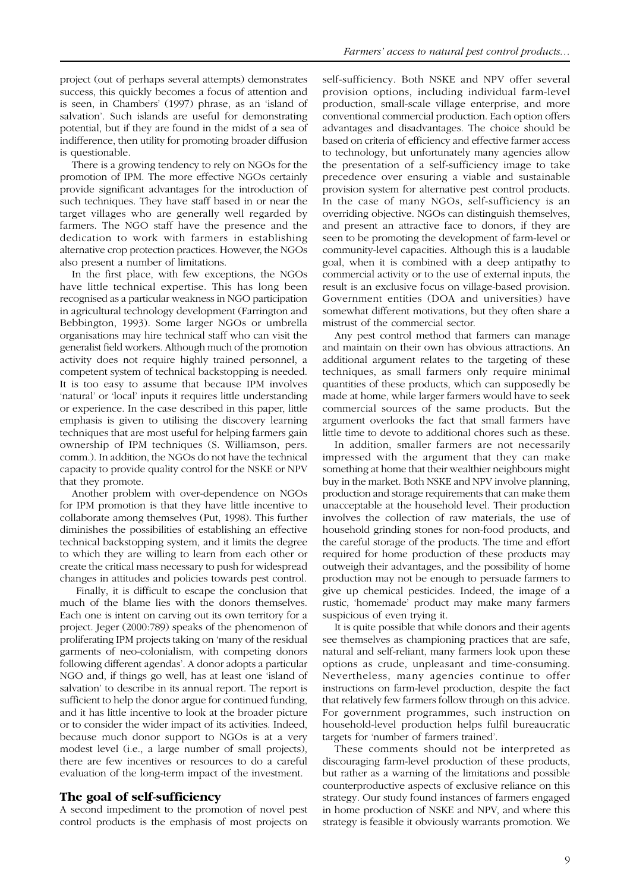project (out of perhaps several attempts) demonstrates success, this quickly becomes a focus of attention and is seen, in Chambers' (1997) phrase, as an 'island of salvation'. Such islands are useful for demonstrating potential, but if they are found in the midst of a sea of indifference, then utility for promoting broader diffusion is questionable.

There is a growing tendency to rely on NGOs for the promotion of IPM. The more effective NGOs certainly provide significant advantages for the introduction of such techniques. They have staff based in or near the target villages who are generally well regarded by farmers. The NGO staff have the presence and the dedication to work with farmers in establishing alternative crop protection practices. However, the NGOs also present a number of limitations.

In the first place, with few exceptions, the NGOs have little technical expertise. This has long been recognised as a particular weakness in NGO participation in agricultural technology development (Farrington and Bebbington, 1993). Some larger NGOs or umbrella organisations may hire technical staff who can visit the generalist field workers. Although much of the promotion activity does not require highly trained personnel, a competent system of technical backstopping is needed. It is too easy to assume that because IPM involves 'natural' or 'local' inputs it requires little understanding or experience. In the case described in this paper, little emphasis is given to utilising the discovery learning techniques that are most useful for helping farmers gain ownership of IPM techniques (S. Williamson, pers. comm.). In addition, the NGOs do not have the technical capacity to provide quality control for the NSKE or NPV that they promote.

Another problem with over-dependence on NGOs for IPM promotion is that they have little incentive to collaborate among themselves (Put, 1998). This further diminishes the possibilities of establishing an effective technical backstopping system, and it limits the degree to which they are willing to learn from each other or create the critical mass necessary to push for widespread changes in attitudes and policies towards pest control.

 Finally, it is difficult to escape the conclusion that much of the blame lies with the donors themselves. Each one is intent on carving out its own territory for a project. Jeger (2000:789) speaks of the phenomenon of proliferating IPM projects taking on 'many of the residual garments of neo-colonialism, with competing donors following different agendas'. A donor adopts a particular NGO and, if things go well, has at least one 'island of salvation' to describe in its annual report. The report is sufficient to help the donor argue for continued funding, and it has little incentive to look at the broader picture or to consider the wider impact of its activities. Indeed, because much donor support to NGOs is at a very modest level (i.e., a large number of small projects), there are few incentives or resources to do a careful evaluation of the long-term impact of the investment.

## **The goal of self-sufficiency**

A second impediment to the promotion of novel pest control products is the emphasis of most projects on self-sufficiency. Both NSKE and NPV offer several provision options, including individual farm-level production, small-scale village enterprise, and more conventional commercial production. Each option offers advantages and disadvantages. The choice should be based on criteria of efficiency and effective farmer access to technology, but unfortunately many agencies allow the presentation of a self-sufficiency image to take precedence over ensuring a viable and sustainable provision system for alternative pest control products. In the case of many NGOs, self-sufficiency is an overriding objective. NGOs can distinguish themselves, and present an attractive face to donors, if they are seen to be promoting the development of farm-level or community-level capacities. Although this is a laudable goal, when it is combined with a deep antipathy to commercial activity or to the use of external inputs, the result is an exclusive focus on village-based provision. Government entities (DOA and universities) have somewhat different motivations, but they often share a mistrust of the commercial sector.

Any pest control method that farmers can manage and maintain on their own has obvious attractions. An additional argument relates to the targeting of these techniques, as small farmers only require minimal quantities of these products, which can supposedly be made at home, while larger farmers would have to seek commercial sources of the same products. But the argument overlooks the fact that small farmers have little time to devote to additional chores such as these.

In addition, smaller farmers are not necessarily impressed with the argument that they can make something at home that their wealthier neighbours might buy in the market. Both NSKE and NPV involve planning, production and storage requirements that can make them unacceptable at the household level. Their production involves the collection of raw materials, the use of household grinding stones for non-food products, and the careful storage of the products. The time and effort required for home production of these products may outweigh their advantages, and the possibility of home production may not be enough to persuade farmers to give up chemical pesticides. Indeed, the image of a rustic, 'homemade' product may make many farmers suspicious of even trying it.

It is quite possible that while donors and their agents see themselves as championing practices that are safe, natural and self-reliant, many farmers look upon these options as crude, unpleasant and time-consuming. Nevertheless, many agencies continue to offer instructions on farm-level production, despite the fact that relatively few farmers follow through on this advice. For government programmes, such instruction on household-level production helps fulfil bureaucratic targets for 'number of farmers trained'.

These comments should not be interpreted as discouraging farm-level production of these products, but rather as a warning of the limitations and possible counterproductive aspects of exclusive reliance on this strategy. Our study found instances of farmers engaged in home production of NSKE and NPV, and where this strategy is feasible it obviously warrants promotion. We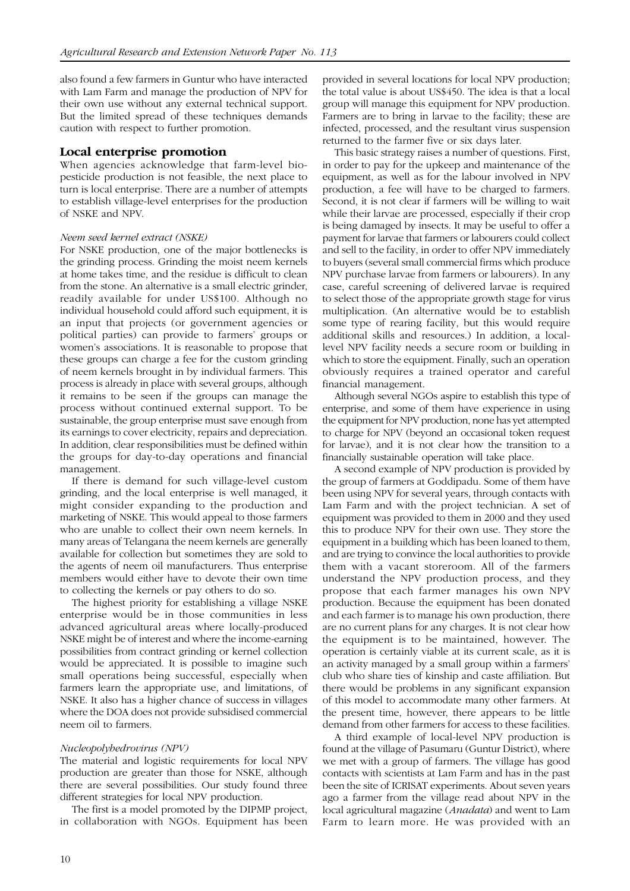also found a few farmers in Guntur who have interacted with Lam Farm and manage the production of NPV for their own use without any external technical support. But the limited spread of these techniques demands caution with respect to further promotion.

#### **Local enterprise promotion**

When agencies acknowledge that farm-level biopesticide production is not feasible, the next place to turn is local enterprise. There are a number of attempts to establish village-level enterprises for the production of NSKE and NPV.

#### *Neem seed kernel extract (NSKE)*

For NSKE production, one of the major bottlenecks is the grinding process. Grinding the moist neem kernels at home takes time, and the residue is difficult to clean from the stone. An alternative is a small electric grinder, readily available for under US\$100. Although no individual household could afford such equipment, it is an input that projects (or government agencies or political parties) can provide to farmers' groups or women's associations. It is reasonable to propose that these groups can charge a fee for the custom grinding of neem kernels brought in by individual farmers. This process is already in place with several groups, although it remains to be seen if the groups can manage the process without continued external support. To be sustainable, the group enterprise must save enough from its earnings to cover electricity, repairs and depreciation. In addition, clear responsibilities must be defined within the groups for day-to-day operations and financial management.

If there is demand for such village-level custom grinding, and the local enterprise is well managed, it might consider expanding to the production and marketing of NSKE. This would appeal to those farmers who are unable to collect their own neem kernels. In many areas of Telangana the neem kernels are generally available for collection but sometimes they are sold to the agents of neem oil manufacturers. Thus enterprise members would either have to devote their own time to collecting the kernels or pay others to do so.

The highest priority for establishing a village NSKE enterprise would be in those communities in less advanced agricultural areas where locally-produced NSKE might be of interest and where the income-earning possibilities from contract grinding or kernel collection would be appreciated. It is possible to imagine such small operations being successful, especially when farmers learn the appropriate use, and limitations, of NSKE. It also has a higher chance of success in villages where the DOA does not provide subsidised commercial neem oil to farmers.

#### *Nucleopolyhedrovirus (NPV)*

The material and logistic requirements for local NPV production are greater than those for NSKE, although there are several possibilities. Our study found three different strategies for local NPV production.

The first is a model promoted by the DIPMP project, in collaboration with NGOs. Equipment has been provided in several locations for local NPV production; the total value is about US\$450. The idea is that a local group will manage this equipment for NPV production. Farmers are to bring in larvae to the facility; these are infected, processed, and the resultant virus suspension returned to the farmer five or six days later.

This basic strategy raises a number of questions. First, in order to pay for the upkeep and maintenance of the equipment, as well as for the labour involved in NPV production, a fee will have to be charged to farmers. Second, it is not clear if farmers will be willing to wait while their larvae are processed, especially if their crop is being damaged by insects. It may be useful to offer a payment for larvae that farmers or labourers could collect and sell to the facility, in order to offer NPV immediately to buyers (several small commercial firms which produce NPV purchase larvae from farmers or labourers). In any case, careful screening of delivered larvae is required to select those of the appropriate growth stage for virus multiplication. (An alternative would be to establish some type of rearing facility, but this would require additional skills and resources.) In addition, a locallevel NPV facility needs a secure room or building in which to store the equipment. Finally, such an operation obviously requires a trained operator and careful financial management.

Although several NGOs aspire to establish this type of enterprise, and some of them have experience in using the equipment for NPV production, none has yet attempted to charge for NPV (beyond an occasional token request for larvae), and it is not clear how the transition to a financially sustainable operation will take place.

A second example of NPV production is provided by the group of farmers at Goddipadu. Some of them have been using NPV for several years, through contacts with Lam Farm and with the project technician. A set of equipment was provided to them in 2000 and they used this to produce NPV for their own use. They store the equipment in a building which has been loaned to them, and are trying to convince the local authorities to provide them with a vacant storeroom. All of the farmers understand the NPV production process, and they propose that each farmer manages his own NPV production. Because the equipment has been donated and each farmer is to manage his own production, there are no current plans for any charges. It is not clear how the equipment is to be maintained, however. The operation is certainly viable at its current scale, as it is an activity managed by a small group within a farmers' club who share ties of kinship and caste affiliation. But there would be problems in any significant expansion of this model to accommodate many other farmers. At the present time, however, there appears to be little demand from other farmers for access to these facilities.

A third example of local-level NPV production is found at the village of Pasumaru (Guntur District), where we met with a group of farmers. The village has good contacts with scientists at Lam Farm and has in the past been the site of ICRISAT experiments. About seven years ago a farmer from the village read about NPV in the local agricultural magazine (*Anadata*) and went to Lam Farm to learn more. He was provided with an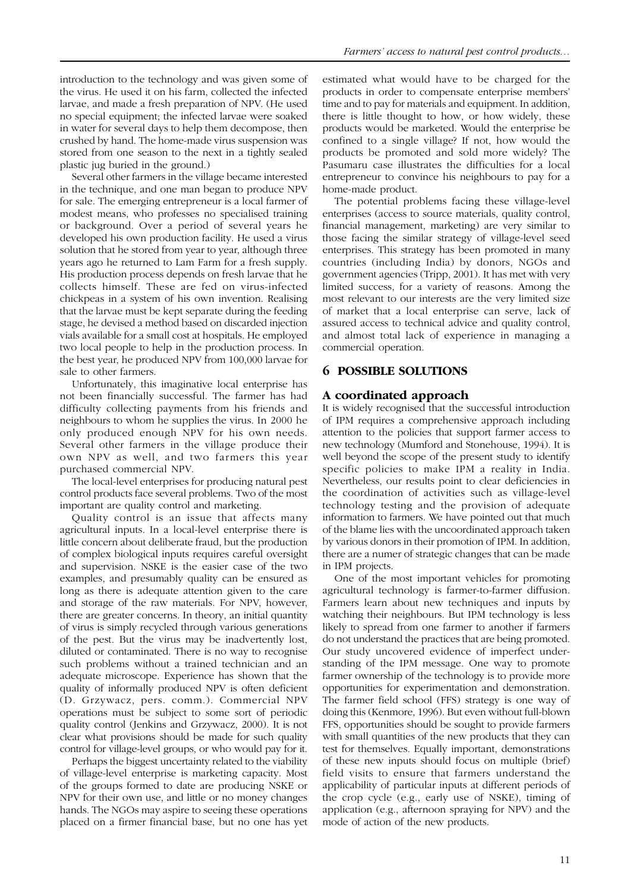introduction to the technology and was given some of the virus. He used it on his farm, collected the infected larvae, and made a fresh preparation of NPV. (He used no special equipment; the infected larvae were soaked in water for several days to help them decompose, then crushed by hand. The home-made virus suspension was stored from one season to the next in a tightly sealed plastic jug buried in the ground.)

Several other farmers in the village became interested in the technique, and one man began to produce NPV for sale. The emerging entrepreneur is a local farmer of modest means, who professes no specialised training or background. Over a period of several years he developed his own production facility. He used a virus solution that he stored from year to year, although three years ago he returned to Lam Farm for a fresh supply. His production process depends on fresh larvae that he collects himself. These are fed on virus-infected chickpeas in a system of his own invention. Realising that the larvae must be kept separate during the feeding stage, he devised a method based on discarded injection vials available for a small cost at hospitals. He employed two local people to help in the production process. In the best year, he produced NPV from 100,000 larvae for sale to other farmers.

Unfortunately, this imaginative local enterprise has not been financially successful. The farmer has had difficulty collecting payments from his friends and neighbours to whom he supplies the virus. In 2000 he only produced enough NPV for his own needs. Several other farmers in the village produce their own NPV as well, and two farmers this year purchased commercial NPV.

The local-level enterprises for producing natural pest control products face several problems. Two of the most important are quality control and marketing.

Quality control is an issue that affects many agricultural inputs. In a local-level enterprise there is little concern about deliberate fraud, but the production of complex biological inputs requires careful oversight and supervision. NSKE is the easier case of the two examples, and presumably quality can be ensured as long as there is adequate attention given to the care and storage of the raw materials. For NPV, however, there are greater concerns. In theory, an initial quantity of virus is simply recycled through various generations of the pest. But the virus may be inadvertently lost, diluted or contaminated. There is no way to recognise such problems without a trained technician and an adequate microscope. Experience has shown that the quality of informally produced NPV is often deficient (D. Grzywacz, pers. comm.). Commercial NPV operations must be subject to some sort of periodic quality control (Jenkins and Grzywacz, 2000). It is not clear what provisions should be made for such quality control for village-level groups, or who would pay for it.

Perhaps the biggest uncertainty related to the viability of village-level enterprise is marketing capacity. Most of the groups formed to date are producing NSKE or NPV for their own use, and little or no money changes hands. The NGOs may aspire to seeing these operations placed on a firmer financial base, but no one has yet estimated what would have to be charged for the products in order to compensate enterprise members' time and to pay for materials and equipment. In addition, there is little thought to how, or how widely, these products would be marketed. Would the enterprise be confined to a single village? If not, how would the products be promoted and sold more widely? The Pasumaru case illustrates the difficulties for a local entrepreneur to convince his neighbours to pay for a home-made product.

The potential problems facing these village-level enterprises (access to source materials, quality control, financial management, marketing) are very similar to those facing the similar strategy of village-level seed enterprises. This strategy has been promoted in many countries (including India) by donors, NGOs and government agencies (Tripp, 2001). It has met with very limited success, for a variety of reasons. Among the most relevant to our interests are the very limited size of market that a local enterprise can serve, lack of assured access to technical advice and quality control, and almost total lack of experience in managing a commercial operation.

# **6 POSSIBLE SOLUTIONS**

## **A coordinated approach**

It is widely recognised that the successful introduction of IPM requires a comprehensive approach including attention to the policies that support farmer access to new technology (Mumford and Stonehouse, 1994). It is well beyond the scope of the present study to identify specific policies to make IPM a reality in India. Nevertheless, our results point to clear deficiencies in the coordination of activities such as village-level technology testing and the provision of adequate information to farmers. We have pointed out that much of the blame lies with the uncoordinated approach taken by various donors in their promotion of IPM. In addition, there are a numer of strategic changes that can be made in IPM projects.

One of the most important vehicles for promoting agricultural technology is farmer-to-farmer diffusion. Farmers learn about new techniques and inputs by watching their neighbours. But IPM technology is less likely to spread from one farmer to another if farmers do not understand the practices that are being promoted. Our study uncovered evidence of imperfect understanding of the IPM message. One way to promote farmer ownership of the technology is to provide more opportunities for experimentation and demonstration. The farmer field school (FFS) strategy is one way of doing this (Kenmore, 1996). But even without full-blown FFS, opportunities should be sought to provide farmers with small quantities of the new products that they can test for themselves. Equally important, demonstrations of these new inputs should focus on multiple (brief) field visits to ensure that farmers understand the applicability of particular inputs at different periods of the crop cycle (e.g., early use of NSKE), timing of application (e.g., afternoon spraying for NPV) and the mode of action of the new products.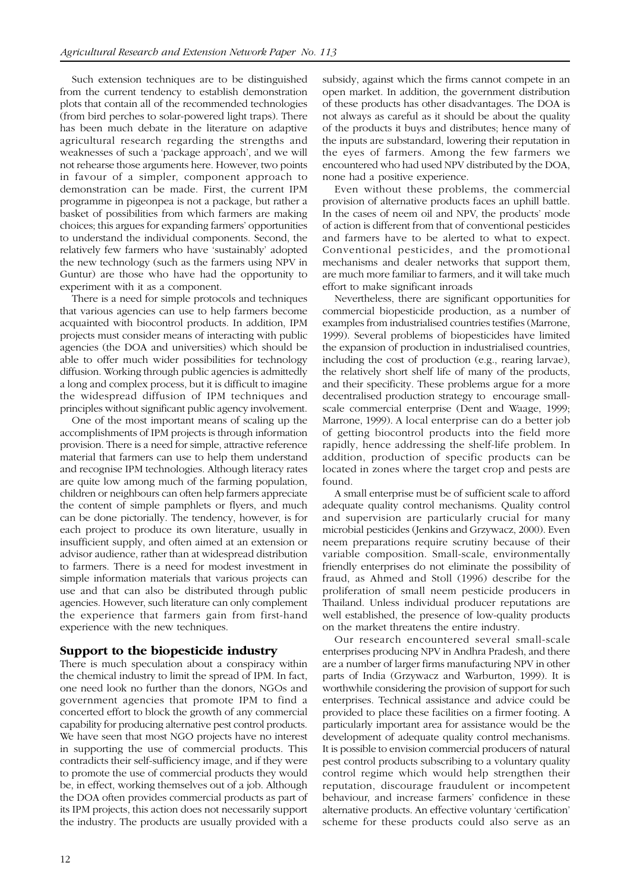Such extension techniques are to be distinguished from the current tendency to establish demonstration plots that contain all of the recommended technologies (from bird perches to solar-powered light traps). There has been much debate in the literature on adaptive agricultural research regarding the strengths and weaknesses of such a 'package approach', and we will not rehearse those arguments here. However, two points in favour of a simpler, component approach to demonstration can be made. First, the current IPM programme in pigeonpea is not a package, but rather a basket of possibilities from which farmers are making choices; this argues for expanding farmers' opportunities to understand the individual components. Second, the relatively few farmers who have 'sustainably' adopted the new technology (such as the farmers using NPV in Guntur) are those who have had the opportunity to experiment with it as a component.

There is a need for simple protocols and techniques that various agencies can use to help farmers become acquainted with biocontrol products. In addition, IPM projects must consider means of interacting with public agencies (the DOA and universities) which should be able to offer much wider possibilities for technology diffusion. Working through public agencies is admittedly a long and complex process, but it is difficult to imagine the widespread diffusion of IPM techniques and principles without significant public agency involvement.

One of the most important means of scaling up the accomplishments of IPM projects is through information provision. There is a need for simple, attractive reference material that farmers can use to help them understand and recognise IPM technologies. Although literacy rates are quite low among much of the farming population, children or neighbours can often help farmers appreciate the content of simple pamphlets or flyers, and much can be done pictorially. The tendency, however, is for each project to produce its own literature, usually in insufficient supply, and often aimed at an extension or advisor audience, rather than at widespread distribution to farmers. There is a need for modest investment in simple information materials that various projects can use and that can also be distributed through public agencies. However, such literature can only complement the experience that farmers gain from first-hand experience with the new techniques.

# **Support to the biopesticide industry**

There is much speculation about a conspiracy within the chemical industry to limit the spread of IPM. In fact, one need look no further than the donors, NGOs and government agencies that promote IPM to find a concerted effort to block the growth of any commercial capability for producing alternative pest control products. We have seen that most NGO projects have no interest in supporting the use of commercial products. This contradicts their self-sufficiency image, and if they were to promote the use of commercial products they would be, in effect, working themselves out of a job. Although the DOA often provides commercial products as part of its IPM projects, this action does not necessarily support the industry. The products are usually provided with a subsidy, against which the firms cannot compete in an open market. In addition, the government distribution of these products has other disadvantages. The DOA is not always as careful as it should be about the quality of the products it buys and distributes; hence many of the inputs are substandard, lowering their reputation in the eyes of farmers. Among the few farmers we encountered who had used NPV distributed by the DOA, none had a positive experience.

Even without these problems, the commercial provision of alternative products faces an uphill battle. In the cases of neem oil and NPV, the products' mode of action is different from that of conventional pesticides and farmers have to be alerted to what to expect. Conventional pesticides, and the promotional mechanisms and dealer networks that support them, are much more familiar to farmers, and it will take much effort to make significant inroads

Nevertheless, there are significant opportunities for commercial biopesticide production, as a number of examples from industrialised countries testifies (Marrone, 1999). Several problems of biopesticides have limited the expansion of production in industrialised countries, including the cost of production (e.g., rearing larvae), the relatively short shelf life of many of the products, and their specificity. These problems argue for a more decentralised production strategy to encourage smallscale commercial enterprise (Dent and Waage, 1999; Marrone, 1999). A local enterprise can do a better job of getting biocontrol products into the field more rapidly, hence addressing the shelf-life problem. In addition, production of specific products can be located in zones where the target crop and pests are found.

A small enterprise must be of sufficient scale to afford adequate quality control mechanisms. Quality control and supervision are particularly crucial for many microbial pesticides (Jenkins and Grzywacz, 2000). Even neem preparations require scrutiny because of their variable composition. Small-scale, environmentally friendly enterprises do not eliminate the possibility of fraud, as Ahmed and Stoll (1996) describe for the proliferation of small neem pesticide producers in Thailand. Unless individual producer reputations are well established, the presence of low-quality products on the market threatens the entire industry.

Our research encountered several small-scale enterprises producing NPV in Andhra Pradesh, and there are a number of larger firms manufacturing NPV in other parts of India (Grzywacz and Warburton, 1999). It is worthwhile considering the provision of support for such enterprises. Technical assistance and advice could be provided to place these facilities on a firmer footing. A particularly important area for assistance would be the development of adequate quality control mechanisms. It is possible to envision commercial producers of natural pest control products subscribing to a voluntary quality control regime which would help strengthen their reputation, discourage fraudulent or incompetent behaviour, and increase farmers' confidence in these alternative products. An effective voluntary 'certification' scheme for these products could also serve as an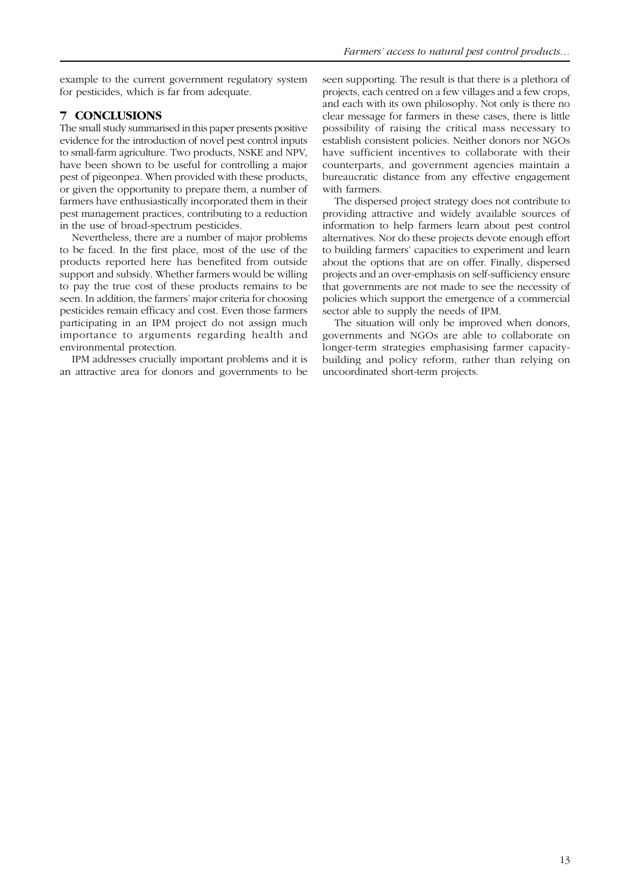example to the current government regulatory system for pesticides, which is far from adequate.

# **7 CONCLUSIONS**

The small study summarised in this paper presents positive evidence for the introduction of novel pest control inputs to small-farm agriculture. Two products, NSKE and NPV, have been shown to be useful for controlling a major pest of pigeonpea. When provided with these products, or given the opportunity to prepare them, a number of farmers have enthusiastically incorporated them in their pest management practices, contributing to a reduction in the use of broad-spectrum pesticides.

Nevertheless, there are a number of major problems to be faced. In the first place, most of the use of the products reported here has benefited from outside support and subsidy. Whether farmers would be willing to pay the true cost of these products remains to be seen. In addition, the farmers' major criteria for choosing pesticides remain efficacy and cost. Even those farmers participating in an IPM project do not assign much importance to arguments regarding health and environmental protection.

IPM addresses crucially important problems and it is an attractive area for donors and governments to be seen supporting. The result is that there is a plethora of projects, each centred on a few villages and a few crops, and each with its own philosophy. Not only is there no clear message for farmers in these cases, there is little possibility of raising the critical mass necessary to establish consistent policies. Neither donors nor NGOs have sufficient incentives to collaborate with their counterparts, and government agencies maintain a bureaucratic distance from any effective engagement with farmers.

The dispersed project strategy does not contribute to providing attractive and widely available sources of information to help farmers learn about pest control alternatives. Nor do these projects devote enough effort to building farmers' capacities to experiment and learn about the options that are on offer. Finally, dispersed projects and an over-emphasis on self-sufficiency ensure that governments are not made to see the necessity of policies which support the emergence of a commercial sector able to supply the needs of IPM.

The situation will only be improved when donors, governments and NGOs are able to collaborate on longer-term strategies emphasising farmer capacitybuilding and policy reform, rather than relying on uncoordinated short-term projects.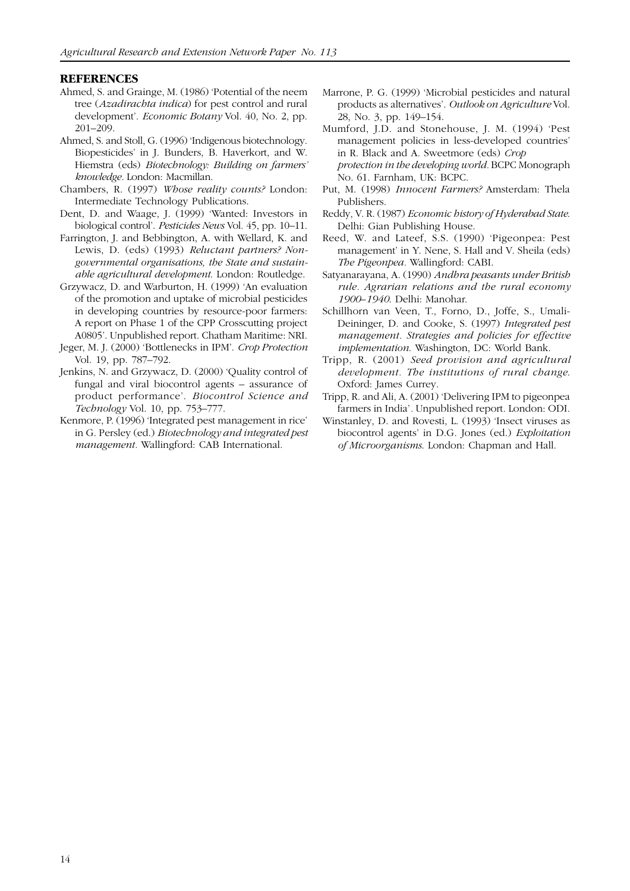#### **REFERENCES**

- Ahmed, S. and Grainge, M. (1986) 'Potential of the neem tree (*Azadirachta indica*) for pest control and rural development'. *Economic Botany* Vol. 40, No. 2, pp. 201–209.
- Ahmed, S. and Stoll, G. (1996) 'Indigenous biotechnology. Biopesticides' in J. Bunders, B. Haverkort, and W. Hiemstra (eds) *Biotechnology: Building on farmers' knowledge.* London: Macmillan.
- Chambers, R. (1997) *Whose reality counts?* London: Intermediate Technology Publications.
- Dent, D. and Waage, J. (1999) 'Wanted: Investors in biological control'. *Pesticides News* Vol. 45, pp. 10–11.
- Farrington, J. and Bebbington, A. with Wellard, K. and Lewis, D. (eds) (1993) *Reluctant partners? Nongovernmental organisations, the State and sustainable agricultural development*. London: Routledge.
- Grzywacz, D. and Warburton, H. (1999) 'An evaluation of the promotion and uptake of microbial pesticides in developing countries by resource-poor farmers: A report on Phase 1 of the CPP Crosscutting project A0805'. Unpublished report. Chatham Maritime: NRI.
- Jeger, M. J. (2000) 'Bottlenecks in IPM'. *Crop Protection* Vol. 19, pp. 787–792.
- Jenkins, N. and Grzywacz, D. (2000) 'Quality control of fungal and viral biocontrol agents – assurance of product performance'. *Biocontrol Science and Technology* Vol. 10, pp. 753–777.
- Kenmore, P. (1996) 'Integrated pest management in rice' in G. Persley (ed.) *Biotechnology and integrated pest management.* Wallingford: CAB International.
- Marrone, P. G. (1999) 'Microbial pesticides and natural products as alternatives'. *Outlook on Agriculture* Vol. 28, No. 3, pp. 149–154.
- Mumford, J.D. and Stonehouse, J. M. (1994) 'Pest management policies in less-developed countries' in R. Black and A. Sweetmore (eds) *Crop protection in the developing world.* BCPC Monograph No. 61. Farnham, UK: BCPC.
- Put, M. (1998) *Innocent Farmers?* Amsterdam: Thela Publishers.
- Reddy, V. R. (1987) *Economic history of Hyderabad State*. Delhi: Gian Publishing House.
- Reed, W. and Lateef, S.S. (1990) 'Pigeonpea: Pest management' in Y. Nene, S. Hall and V. Sheila (eds) *The Pigeonpea.* Wallingford: CABI.
- Satyanarayana, A. (1990) *Andhra peasants under British rule. Agrarian relations and the rural economy 1900–1940*. Delhi: Manohar.
- Schillhorn van Veen, T., Forno, D., Joffe, S., Umali-Deininger, D. and Cooke, S. (1997) *Integrated pest management. Strategies and policies for effective implementation*. Washington, DC: World Bank.
- Tripp, R. (2001) *Seed provision and agricultural development. The institutions of rural change*. Oxford: James Currey.
- Tripp, R. and Ali, A. (2001) 'Delivering IPM to pigeonpea farmers in India'*.* Unpublished report. London: ODI.
- Winstanley, D. and Rovesti, L. (1993) 'Insect viruses as biocontrol agents' in D.G. Jones (ed.) *Exploitation of Microorganisms*. London: Chapman and Hall.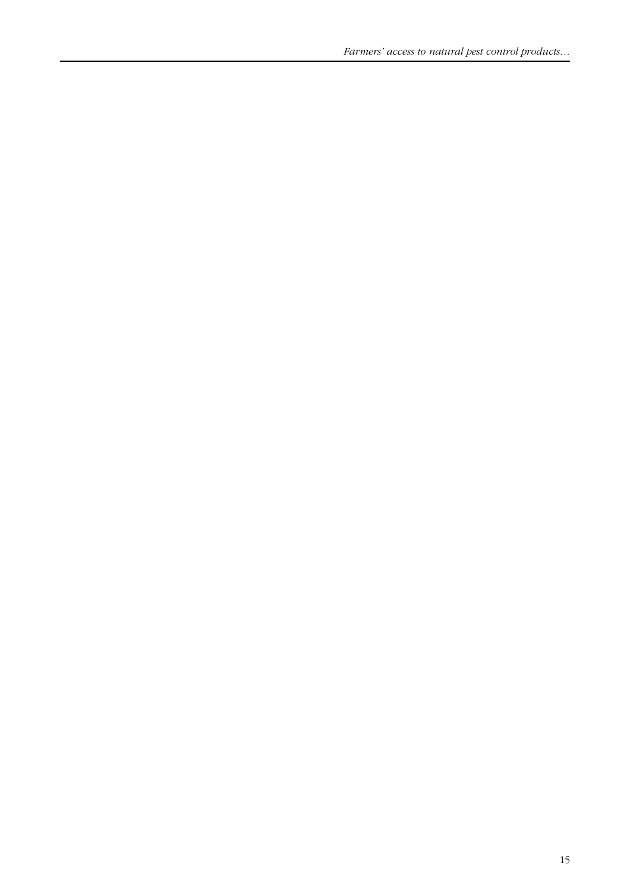*Farmers' access to natural pest control products…*